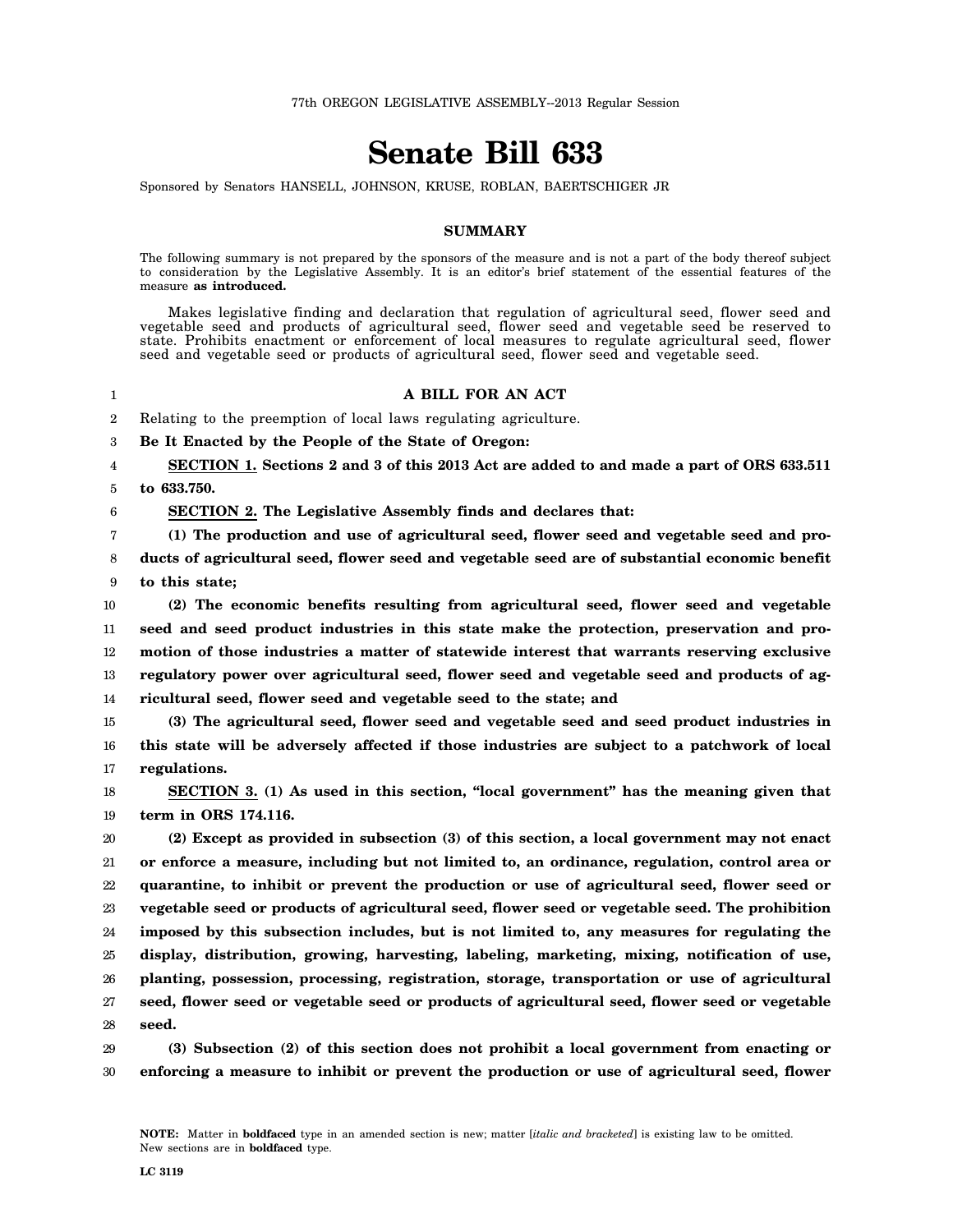## **Senate Bill 633**

Sponsored by Senators HANSELL, JOHNSON, KRUSE, ROBLAN, BAERTSCHIGER JR

## **SUMMARY**

The following summary is not prepared by the sponsors of the measure and is not a part of the body thereof subject to consideration by the Legislative Assembly. It is an editor's brief statement of the essential features of the measure **as introduced.**

Makes legislative finding and declaration that regulation of agricultural seed, flower seed and vegetable seed and products of agricultural seed, flower seed and vegetable seed be reserved to state. Prohibits enactment or enforcement of local measures to regulate agricultural seed, flower seed and vegetable seed or products of agricultural seed, flower seed and vegetable seed.

## **A BILL FOR AN ACT**

2 Relating to the preemption of local laws regulating agriculture.

3 **Be It Enacted by the People of the State of Oregon:**

4 5 **SECTION 1. Sections 2 and 3 of this 2013 Act are added to and made a part of ORS 633.511 to 633.750.**

1

6

**SECTION 2. The Legislative Assembly finds and declares that:**

7 **(1) The production and use of agricultural seed, flower seed and vegetable seed and pro-**

8 9 **ducts of agricultural seed, flower seed and vegetable seed are of substantial economic benefit to this state;**

10 11 12 13 14 **(2) The economic benefits resulting from agricultural seed, flower seed and vegetable seed and seed product industries in this state make the protection, preservation and promotion of those industries a matter of statewide interest that warrants reserving exclusive regulatory power over agricultural seed, flower seed and vegetable seed and products of agricultural seed, flower seed and vegetable seed to the state; and**

15 16 17 **(3) The agricultural seed, flower seed and vegetable seed and seed product industries in this state will be adversely affected if those industries are subject to a patchwork of local regulations.**

18 19 **SECTION 3. (1) As used in this section, "local government" has the meaning given that term in ORS 174.116.**

20 21 22 23 24 25 26 27 28 **(2) Except as provided in subsection (3) of this section, a local government may not enact or enforce a measure, including but not limited to, an ordinance, regulation, control area or quarantine, to inhibit or prevent the production or use of agricultural seed, flower seed or vegetable seed or products of agricultural seed, flower seed or vegetable seed. The prohibition imposed by this subsection includes, but is not limited to, any measures for regulating the display, distribution, growing, harvesting, labeling, marketing, mixing, notification of use, planting, possession, processing, registration, storage, transportation or use of agricultural seed, flower seed or vegetable seed or products of agricultural seed, flower seed or vegetable seed.**

29 30 **(3) Subsection (2) of this section does not prohibit a local government from enacting or enforcing a measure to inhibit or prevent the production or use of agricultural seed, flower**